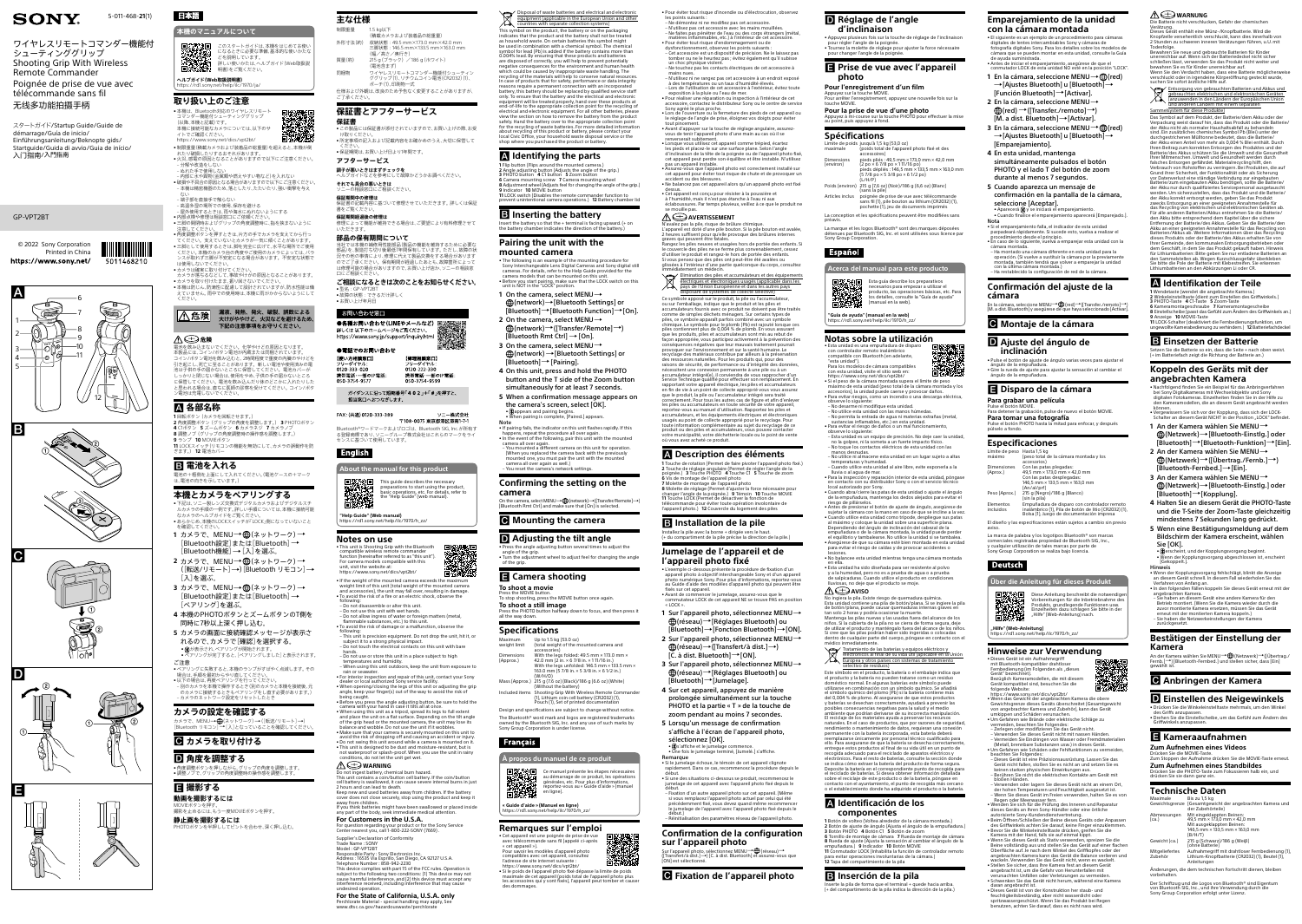|                  | 本機のマニュアルについて                                                                                          |
|------------------|-------------------------------------------------------------------------------------------------------|
|                  | このスタートガイドは、本機をはじめてお使い<br>になるときに必要な準備、基本的な使いかたな<br>どを説明しています。<br>詳しい使いかたは、ヘルプガイド(Web取扱説<br>明書)をご覧ください。 |
| ヘルプガイド(Web取扱説明書) | https://rd1.sony.net/help/ilc/1970/ja/                                                                |

#### **取り扱い上のご注意**



- <https://www.sony.net/dics/vpt2bt/> • 制限重量(積載カメラおよび装着品の総重量)を超えると、本機が倒 れたり破損したりするおそれがあります。
- 火災、感電の原因となることがありますので以下にご注意ください。 ‒ 分解や改造をしない ‒ ぬれた手で使用しない
- ‒ 内部に水や異物(金属類や燃えやすい物など)を入れない ● 破損や不具合の原因となる場合がありますので以下にご注意ください ‒ 本機は精密機器のため、落としたり、たたいたり、強い衝撃を与え
- ない ‒ 端子部を直接手で触らない
- ‒ 高温多湿の場所での使用、保存を避ける ‒ 屋外使用するときは、雨や海水にぬれないようにする
- 内部点検や修理は相談窓口にご依頼ください • 三脚の開閉時およびグリップの角度調整時に、指を挟まないように
- 注意してください - 独思し、<br>• 角度調整ボタンを押すときは、片方の手でカメラを支えてから行っ てください。支えていないとカメラが一気に傾くことがあります。 ● 三脚として使用するときは、脚を完全に広げて、水平な場所でご使用 ください。本機のカメラ台の角度やご使用のカメラによっては、バラ ンスが取れず三脚が不安定になる場合があります。不安定な状態で
- は使用しないでください。 •カメラは確実に取り付けてください カメラが落ちるなどして、事故やけがの原因となることがあります。 ●カメラを取り付けたまま、振り回さないでください。<br>●本機は防じん、防滴性に配慮して設計されていますが、防水性能は備 えていません。雨中での使用時は、本機に雨がかからないようにして
- ください。 **漏液、発熱、発火、破裂、誤飲による**

**大けがややけど、火災などを避けるため、** 

### **下記の注意事項をお守りください。**

- 下記は、ソニー製レンズ交換式デジタルカメラおよびデジタルスチ ルカメラの手順の一例です。詳しい手順については、本機に接続可能 なカメラのヘルプガイドをご覧ください。 • あらかじめ、本機のLOCKスイッチが「LOCK」側になっていないこと
- を確認してください **1** カメラで、MENU  (ネットワーク)  [Bluetooth設定]または[Bluetooth]  [Bluetooth機能] → [入]を選ぶ。
- 2 カメラで、MENU→ **⊕**(ネットワーク) → ([転送/リモート] )[Bluetooth リモコン]  [入]を選ぶ。
- **3** カメラで、MENU→ ⊕(ネットワーク) → [Bluetooth設定]または[Bluetooth]  [ペアリング]を選ぶ。
- **4** 本機のPHOTOボタンとズームボタンのT側を 同時に7秒以上深く押し込む。
- **5** カメラの画面に接続確認メッセージが表示さ れるので、カメラで[確認]を選択する。 • 3 が表示され、ペアリングが開始されます。 • ペアリングが完了すると、[ペアリングしました]と表示されます。
- ご注意 • ペアリングに失敗すると、本機のランプがすばやく点滅します。その 場合は、手順を最初からやり直してください。
- •以下の場合は、再度ペアリングを行ってください 。<br>- 別のカメラを本機で操作するとき(別のカメラと本機を接続後、元 のカメラに接続するときもペアリングをし直す必要があります。) ‒ カメラのネットワーク設定をリセットしたとき

MOVIEボタンを押す。 撮影を止めるには、もう一度MOVIEボタンを押す。 **静止画を撮影するには** —— コ・…… -<br>フボタンを半押ししてピントを合わせ、深く押し込む。

 **危険** 電池を飲み込まないでください。化学やけどの原因となります。 本製品には、コイン/ボタン電池が内蔵または同梱されています。 コイン/ボタン電池を飲み込むと、2時間程度で重度の内臓のやけどを コ・・・・・・・・・・。ここの・・・ここで、コンスコース・・・・。<br>引き起こし、死亡に至ることがあります。新しい電池や使用済みの電 池は子供の手の届かないところに保管してください。電池カバーが しっかりと閉じない場合は、使用をやめ、子供の手の届かないところ ここ。これます。<br>こ保管してください。電池を飲み込んだり体のどこかに入れたりした と思われる場合は、直ちに医師の診察を受けてください。コイン/ボタ ン電池は充電しないでください。

#### **各部名称**

 回転ボタン(カメラを回転させます。) 角度調整ボタン(グリップの角度を調整します。) **3** PHOTOボタン **4** C1ボタン **5** ズームボタン **6** カメラネジ **7** カメラノブ 調整ノブ(グリップの角度調整時の操作感を調整します。) ランプ **10** MOVIEボタン

- ください。<br>● 保証期間は、お買い上げ日より1年間です。 **アフターサービス**
- **調子が悪いときはまずチェックを**
- ヘルプガイドなどを参考にして故障かどうかお調べください。 **それでも具合の悪いときは**
- ソニーの相談窓口にご相談ください。

**11** LOCKスイッチ(リモコンの機能を無効にして、カメラの誤動作を防 ぎます。) **12** 電池カバー

 **電池を入れる** 電池の+極側を上面にして入れてください。(電池ケースの+マーク は、電池の向きを示しています。)

#### **本機とカメラをペアリングする**

〒108-0075 東京都港区港南1-7-Bluetooth®ワードマークおよびロゴは、Bluetooth SIG, Inc.が所有す る登録商標であり、ソニーグループ株式会社はこれらのマークをライ センスに基づいて使用しています。

ソニー株式会社

### **English**

For camera models compatible with this unit, visit the website at: <https://www.sony.net/dics/vpt2bt/> • If the weight of the mounted camera exceeds the maximum<br>weight limit of this unit (total weight of the mounted camera<br>and accessories), the unit may fall over, resulting in damage.<br>• To avoid the risk of a fire or an ele

### **カメラの設定を確認する**

カメラで、MENU→ (1)(ネットワーク) → ([転送/リモート] →) [Bluetooth リモコン]→[入]となっていることを確認してください。

### **カメラを取り付ける**

## **角度を調整する**

• 角度調整ボタンを押しながら、グリップの角度を調整します。 • 調整ノブで、グリップの角度調整時の操作感を調整します。

#### **撮影する 動画を撮影するには**

### **主な仕様**

制限重量

- (積載カメラおよび装着品の総重量) 外形寸法(約) 収納状態:49.5 mm×173.0 mm×42.0 mm =<br>三脚状能 · 146.5 mm×133.5 mm×163.0 mm (幅/高さ/奥行き) 質量(約) 215 g (ブラック) /186 g (ホワイト) (電池含まず)
- 同梱物 ワイヤレスリモートコマンダー機能付シューティン ググリップ(1)、リチウムコイン電池(CR2032)(1)、 ポーチ(1)、印刷物一式 仕様および外観は、改良のため予告なく変更することがありますが、 ご了承ください。

### **保証書とアフターサービス**

#### not waterproof or splash-proof. When you use the unit in rainy nditions, do not let the unit get wet.

### $\mathbb{A}\mathfrak{\oplus}$  warning

**保証書** -------------<br>• この製品には保証書が添付されていますので、お買い上げの際、お受 け取りください。 • 所定事項の記入および記載内容をお確かめのうえ、大切に保管して

**保証期間中の修理は** 保証書の記載内容に基づいて修理させていただきます。詳しくは保証

#### 書をご覧ください。 **保証期間経過後の修理は**

修理によって機能が維持できる場合は、ご要望により有料修理させて いただきます。

#### **部品の保有期間について**

当社では本機の補修用性能部品(製品の機能を維持するために必要な 部品)を、製造打ち切り後最低7年間保有しています。ただし、故障の状 況その他の事情により、修理に代えて製品交換をする場合があります つでご了承ください。保有期間が経過したあとも、故障箇所によっ は修理可能の場合がありますので、お買い上げ店か、ソニーの相談窓 口にご相談ください。

**ご相談になるときは次のことをお知らせください。**  $\bullet$  型名: GP-VPT2B • 故障の状態:できるだけ詳しく

### お問い合わせ窓口

• お買い上げ年月日

詳しくは 以下のホームページをご覧ください https://www.sony.jp/support/inquiry.html

#### ●電話でのお問い合わせ 【使い方相談窓口】 【修理相談窓口】 ーダイヤル リーダイヤル 0120 333 020 0120 222 330 携帯電話·一部のIP電話 携帯電話·一部のIP電話:

050-3754-957 050 3754 959 ガイダンスに沿って短縮番号「402」+「#」を押すと、

#### FAX: (共通) 0120-333-389

担当窓口へおつなぎします

### **About the manual for this product**

undesired operatic **For the State of California, U.S.A. only** Perchlorate Material - special handling may apply, See [www.dtsc.ca.gov/hazardouswaste/perchlorate](http://www.dtsc.ca.gov/hazardouswaste/perchlorate)

This symbol on the product, the battery or on the packaging indicates that the product and the battery shall not be treated as household waste. On certain batteries this symbol might<br>be used in combination with a chemical symbol. The chemical<br>symbol for lead (Pb) is added if the battery contains more than 0.004% lead. By ensuring that these products and batteries are disposed of correctly, you will help to prevent potentially negative consequences for the environment and human health which could be caused by inappropriate waste handling. The recycling of the materials will help to conserve natural resources. In case of products that for safety, performance or data integrity reasons require a permanent connection with an incorporated battery, this battery should be replaced by qualified service staff only. To ensure that the battery and the electrical and electroni equipment will be treated properly, hand over these products at<br>end-of-life to the appropriate collection point for the recycling of<br>electrical and electronic equipment. For all other batteries, please view the section on how to remove the battery from the product safely. Hand the battery over to the appropriate collection point for the recycling of waste batteries. For more detailed information<br>about recycling of this product or battery, please contact your<br>local Civic Office, your household waste disposal service or the<br>shop where you purchased



**"Help Guide" (Web manual)** [https://rd1.sony.net/help/ilc/1970/h\\_zz/](https://rd1.sony.net/help/ilc/1970/h_zz/)

#### **Notes on use** • This unit is Shooting Grip with the Bluetooth

compatible wireless remote commander function (hereinafter referred to as "this unit").

#### following:

– Do not disassemble or alter this unit. – Do not use this unit with wet hands. – Do not allow ingress of water or foreign matters (metal,

 Flip button (Flips around the mounted camera.) Angle adjusting button (Adjusts the angle of the grip.) **3** PHOTO button **4** C1 button **5** Zoom button Camera mounting screw **7** Camera mounting wheel Adjustment wheel (Adjusts feel for changing the angle of the grip.) **9** Indicator **10** MOVIE button LOCK switch (Disables the remote commander function to prevent unintentional camera operations.) **12** Battery chamber lid

**4** On this unit, press and hold the PHOTO button and the T side of the Zoom button simultaneously for at least 7 seconds. **5** When a confirmation message appears on the camera's screen, select [OK]. • (∦)appears and pairing begins.<br>• When pairing is complete, [Paired.] appears.

- flammable substances, etc.) to this unit. • To avoid the risk of damage or a malfunction, observe the
- following:<br>– This unit is precision equipment. Do not drop the unit, hit it, or<br>– subject it to a strong physical impact.<br>– Do not touch the electrical contacts on this unit with bare
- hands. Do not use or store this unit in a place subject to high
- temperatures and humidity. When using this unit outdoors, keep the unit from exposure to rain or seawater.
- For interior inspection and repair of this unit, contact your Sony dealer or local authorized Sony service facility. • When opening/closing the legs of this unit or adjusting the grip
- angle, keep your finger(s) out of the way to avoid the risk of being caught. • Before you press the angle adjusting button, be sure to hold the camera with your hand in case it tilts all at once.
- When using this unit as a tripod, spread its legs to full extent and place the unit on a flat surface. Depending on the tilt angle
- of the grip head or the mounted camera, the unit may lose its<br>balance and wobble. Do not use the unit if it wobbles.<br>• Make sure that your camera is securely mounted on this unit to<br>avoid the risk of dropping off and causi
- Do not swing this unit around while a camera is mounted on it. • This unit is designed to be dust and moisture-resistant, but is

Do not ingest battery, chemical burn hazard. This unit contains a coin/button cell battery. If the coin/button cell battery is swallowed, it can cause severe internal burns in just 2 hours and can lead to death. Keep new and used batteries away from children. If the battery cover does not close securely, stop using the product and keep it

away from children. If you think batteries might have been swallowed or placed inside any part of the body, seek immediate medical attention.

#### **For Customers in the U.S.A.**

For question regarding your product or for the Sony Service Center nearest you, call 1-800-222-SONY (7669) . Supplier's Declaration of Conformity

dysfonctionnement, observez les points suivants :<br>– Cet accessoire est un dispositif de précision. Ne le laissez pas<br>- tomber ou ne le heurtez pas ; évitez également qu'il subisse un choc physique violent. – Ne touchez pas les contacts électriques de cet accessoire à

Trade Name : SONY Model : GP-VPT2BT Responsible Party : Sony Electronics Inc. Address : 16535 Via Esprillo, San Diego, CA 92127 U.S.A. Telephone Number : 858-942-2230 This device complies with part 15 of the FCC rules. Operation is subject to the following two conditions: (1) This device may not cause harmful interference, and (2) this device must accept any interference received, including interference that may cause



ccident ou des blessures • Ne balancez pas cet appareil alors qu'un appareil photo est fixé dessus. • Cet appareil est conçu pour résister à la poussière et

Elimination des piles et accumulateurs et des équipements électriques et électroniques usagés (applicable dans les pays de l'Union Européenne et dans les autres pays disposant de systèmes de collecte sélective)

usagés au point de collecte approprié pour le recyclage. Pour<br>toute information complémentaire au sujet du recyclage de ce<br>produit ou des piles et accumulateurs, vous pouvez contacter<br>votre municipalité, votre déchetterie où vous avez acheté ce produit.

#### **Identifying the parts**

**B** Inserting the battery

#### **El Installation de la pile** Installez la pile avec la borne + dirigée vers le haut. (+ du compartiment de la pile précise la direction de la pile.)

Insert the battery so that the + terminal is facing upward. (+ on the battery chamber indicates the direction of the battery.)

#### **1** Sur l'appareil photo, sélectionnez MENU  $\bigoplus$ (réseau) $\rightarrow$ [Réglages Bluetooth] ou

[Bluetooth] $\rightarrow$ [Fonction Bluetooth] $\rightarrow$ [ON]. 2 Sur l'appareil photo, sélectionnez MENU→  $\bigoplus$ (réseau) $\rightarrow$ ([Transfert/à dist.] $\rightarrow$ )

**Pairing the unit with the** 

**1** On the camera, select MENU→

2 On the camera, select MENU→

[Bluetooth Rmt Ctrl]  $\rightarrow$  [On]. **3** On the camera, select MENU→

 $[Bluetooth] \rightarrow [Pairing].$ 

**mounted camera**

[C. à dist. Bluetooth] $\rightarrow$ [ON]. **3** Sur l'appareil photo, sélectionnez MENU

 $\bigoplus$ (réseau)→[Réglages Bluetooth] ou  $[Bluetooth] \rightarrow [Jumelage].$ **4** Sur cet appareil, appuyez de manière

• The following is an example of the mounting procedure for Sony Interchangeable Lens Digital Cameras and Sony digital still cameras. For details, refer to the Help Guide provided for the camera models that can be mounted on this unit. • Before you start pairing, make sure that the LOCK switch on this unit is NOT in the "LOCK" position.

 $\bigoplus$ (network)  $\rightarrow$  [Bluetooth Settings] or  $[Bluetooth] \rightarrow [Bluetooth$  Function]  $\rightarrow$  [On].

 $\bigoplus$ (network) $\rightarrow$ ([Transfer/Remote] $\rightarrow$ )

 $\bigoplus$ (network)  $\rightarrow$  [Bluetooth Settings] or

sélectionnez [OK]. • (∦)s'affiche et le jumelage commence.<br>• Une fois le jumelage terminé, [Jumelé.] s'affiche.

Note • If pairing fails, the indicator on this unit flashes rapidly. If this

happens, repeat the procedure all over again.

• In the event of the following, pair this unit with the mounted camera all over again. – You mounted a different camera on this unit for operation. (When you replaced the camera back with the previously mounted one, you must pair the unit with the mounted

camera all over again as well.) – You reset the camera's network settings.

**Confirming the setting on the** 

**camera**

 **Mounting the camera**

 **Adjusting the tilt angle** • Press the angle adjusting button several times to adjust the angle of the grip. • Turn the adjustment wheel to adjust feel for changing the angle of the grip.

 **Camera shooting**

**To shoot a movie** Press the MOVIE button.

To stop shooting, press the MOVIE button once again.

**To shoot a still image** Press the PHOTO button halfway down to focus, and then press it

all the way down.

**Specifications**

Maximum weight limit Up to 1.5 kg (53.0 oz) (total weight of the mounted camera and

accessories)

Dimensions (Approx.)

**Français** 

On the camera, select MENU→∰ (network)→([Transfer/Remote]→)<br>[Bluetooth Rmt Ctrl] and make sure that [On] is selected.

With the legs folded: 49.5 mm × 173.0 mm × 42.0 mm (2 in. × 6 7/8 in. × 1 11/16 in.) With the legs unfolded: 146.5 mm × 133.5 mm × 163.0 mm (5 7/8 in. × 5 3/8 in. × 6 1/2 in.)

(W/H/D)

Mass (Approx.) 215 g (7.6 oz) (Black)/186 g (6.6 oz) (White) (Without the battery) Included items Shooting Grip With Wireless Remote Commander (1), Lithium coin cell battery (CR2032) (1), Pouch (1), Set of printed documentation Design and specifications are subject to change without notice. The Bluetooth® word mark and logos are registered trademarks owned by the Bluetooth SIG, Inc. and any use of such marks by

Sony Group Corporation is under license.

**À propos du manuel de ce produit**

Ce manuel présente les étapes nécessaires au démarrage de ce produit, les opérations générales, etc. Pour plus d'informations, reportez-vous au « Guide d'aide » (manuel

品数数

en ligne).

tan solo 2 horas y podría ocasionar la muerte.<br>Mantenga las pilas nuevas y las usadas fuera del alcance de los<br>niños. Si la cubierta de la pila no se cierra de forma segura, deje<br>de utilizar el producto y manténgalo fuera dentro de cualquier parte del cuerpo, póngase en contacto con el médico inmediatamente.

#### Tratamiento de las baterías y equipos eléctricos y electrónicos al final de su vida útil (aplicable en la Unión Europea y otros países con sistemas de tratamiento ctivo de residuos

**« Guide d'aide » (Manuel en ligne)** [https://rd1.sony.net/help/ilc/1970/h\\_zz/](https://rd1.sony.net/help/ilc/1970/h_zz/)

Este símbolo en el producto, la batería o el embalaje indica que el producto y la batería no pueden tratarse como un residuo doméstico normal. En algunas baterías este símbolo puede utilizarse en combinación con un símbolo químico. Se añadirá el símbolo químico del plomo (Pb) si la batería contiene más del 0,004 % de plomo. Al asegurarse de que estos productos y baterías se desechan correctamente, ayudará a prevenir las posibles consecuencias negativas para la salud y el medio ambiente que podrían derivarse de su incorrecta manipulación. El reciclaje de los materiales ayuda a preservar los recursos naturales. En el caso de productos, que por razones de seguridad, rendimiento o mantenimiento de datos, requieran una conexión permanente con la batería incorporada, esta batería deberá mplazarse únicamente por personal técnico cualificado para ello. Para asegurarse de que la batería se desecha correctamente, entregue estos productos al final de su vida útil en un punto de recogida adecuado para el reciclado de aparatos eléctricos y electrónicos. Para el resto de baterías, consulte la sección donde se indica cómo extraer la batería del producto de forma segura. Deposite la batería en el correspondiente punto de recogida para<br>el reciclado de baterías. Si desea obtener información detallada<br>sobre el reciclaje de este producto o de la batería, póngase en<br>contacto con el ayuntamiento

**Remarques sur l'emploi** • Cet appareil est une poignée de prise de vue avec télécommande sans fil (appelé ci-après « cet appareil »). Pour savoir les modèles d'appareil photo compatibles avec cet appareil, consultez l'adresse de site internet suivante : <https://www.sony.net/dics/vpt2bt/>

• Si le poids de l'appareil photo fixé dépasse la limite de poids maximale de cet appareil (poids total de l'appareil photo plus les accessoires qui y sont fixés), l'appareil peut tomber et causer

des dommages.

• Pour éviter tout risque d'incendie ou d'électrocution, observez les points suivants : – Ne démontez ni ne modifiez pas cet accessoire.

N'utilisez pas cet accessoire avec les mains mouillée

– Ne faites pas pénétrer de l'eau ou des corps étrangers (métal, matières inflammables, etc.) à l'intérieur de cet accessoire. • Pour éviter tout risque d'endommagement ou de

mains nues.

– N'utilisez ni ne rangez pas cet accessoire à un endroit exposé à des températures ou un taux d'humidité élevés. – Lors de l'utilisation de cet accessoire à l'extérieur, évitez toute

exposition à la pluie ou l'eau de mer. • Pour réaliser une réparation ou inspection à l'intérieur de cet accessoire, contactez le distributeur Sony ou le centre de service

Sony agréé le plus proche. • Lors de l'ouverture ou la fermeture des pieds de cet appareil ou le réglage de l'angle de prise, éloignez vos doigts pour éviter

tout pincement.

e mouille pas.

• Avant d'appuyer sur la touche de réglage angulaire, assurezvous de tenir l'appareil photo d'une main au cas où il se renverserait subitement. • Lorsque vous utilisez cet appareil comme trépied, écartez les pieds et placez-le sur une surface plane. Selon l'angle d'inclinaison de la tête de la poignée ou de l'appareil photo fixé, cet appareil peut perdre son équilibre et être instable. N'utilisez

pas un appareil instable. • Assurez-vous que l'appareil photo est correctement installé sur cet appareil pour éviter tout risque de chute et de provoquer un

> imensiones (Aprox.)

Empuñadura de disparo con controlador remoto inalámbrico (1), Pila de botón de litio (CR2032) (1), Bolsa (1), Juego de documentación impresa El diseño y las especificaciones están sujetos a cambio sin previo

à l'humidité, mais il n'est pas étanche à l'eau ni aux éclaboussures. Par temps pluvieux, veillez à ce que le produit ne

### $\mathbb A \mathfrak{\oplus}$  avertissement

La marca de palabra y los logotipos Bluetooth® son marcas comerciales registradas propiedad de Bluetooth SIG, Inc., y cualquier utilización de tales marcas por parte de Sony Group Corporation se realiza bajo licencia.

N'avalez pas la pile, risque de brûlure chimique. L'appareil est doté d'une pile bouton. Si la pile bouton est avalée, 2 heures suffisent pour qu'elle provoque des brûlures internes graves qui peuvent être fatales. Rangez les piles neuves et usagées hors de portée des enfants. Si

> Diese Anleitung beschreibt die notw Vorbereitungen für die Inbetriebnahme des Produkts, grundlegende Funktionen usw. Einzelheiten dazu schlagen Sie bitte in der

"Hilfe" (Web-Anleitung) nach

• Dieses Gerät ist ein Aufnahmegrif mit Bluetooth-kompatibler drahtloser

le couvercle des piles ne se ferme plus convenablement, cessez d'utiliser le produit et rangez-le hors de portée des enfants. Si vous pensez que des piles ont peut-être été avalées ou glissées à l'intérieur d'une partie quelconque du corps, consultez immédiatement un médecin.

> – Dieses Gerät ist eine Präzisionsausrüstung. Lassen Sie das<br>Gerät nicht fallen, stoßen Sie es nicht an und setzen Sie es<br>keinen starken physischen Einwirkungen aus.<br>– Berühren Sie nicht die elektrischen Kontakte am Gerät – Verwenden oder lagern Sie dieses Gerät nicht an einem Ort, der hohen Temperaturen und Feuchtigkeit ausgesetzt ist. – Wenn Sie dieses Gerät im Freien verwenden, halten Sie es von Regen oder Meerwasser fern. • Wenden Sie sich für die Prüfung des Inneren und Reparatur

> dieses Geräts an Ihren Sony-Händler oder eine örtliche<br>autorisierte Sony-Kundendienstvertretung.<br>• Beim Öffnen/Schließen der Beine dieses Geräts oder Anpassen<br>• des Griffwinkels achten Sie darauf, keine Finger einzuklemmen

Ce symbole apposé sur le produit, la pile ou l'accumulateur, ou sur l'emballage, indique que le produit et les piles et accumulateurs fournis avec ce produit ne doivent pas être traités comme de simples déchets ménagers. Sur certains types de piles, ce symbole apparaît parfois combiné avec un symbole chimique. Le symbole pour le plomb (Pb) est rajouté lorsque ces piles contiennent plus de 0,004 % de plomb. En vous assurant<br>que les produits, piles et accumulateurs sont mis au rebut de<br>façon appropriée, vous participez activement à la prévention des conséquences négatives que leur mauvais traitement pourrait provoquer sur l'environnement et sur la santé humaine. Le

recyclage des matériaux contribue par ailleurs à la préservation des ressources naturelles. Pour les produits qui, pour des raisons de sécurité, de performance ou d'intégrité des données, nécessitent une connexion permanente à une pile ou à un

accumulateur intégré(e), il conviendra de vous rapprocher d'un Service Technique qualifié pour effectuer son remplacement. En apportant votre appareil électrique, les piles et accumulateur en fin de vie à un point de collecte approprié vous vous assurez<br>que le produit, la pile ou l'accumulateur intégré sera traité<br>correctement. Pour tous les autres cas de figure et afin d'enlever les piles ou accumulateurs en toute sécurité de votre appareil, reportez-vous au manuel d'utilisation. Rapportez les piles et accumulateurs, et les équipements électriques et électroniques

### **Description des éléments**

**1** Touche de rotation (Permet de faire pivoter l'appareil photo fixé.) **2** Touche de réglage angulaire (Permet de régler l'angle de la poignée.) **3** Touche PHOTO **4** Touche C1 **5** Touche de zoom **6** Vis de montage de l'appareil photo **7** Molette de montage de l'appareil photo

Batterie/des Akkus schützen Sie die Umwelt und die Gesundheit<br>Ihrer Mitmenschen. Umwelt und Gesundheit werden durch<br>falsches Entsorgen gefährdet. Materialrecycling hilft, den<br>Verbrauch von Rohstoffen zu verringern. Bei Pro vor Datenverlust eine ständige Verbindung zur eingebauten Batterie/zum eingebauten Akku benötigen, sollte die Batterie/ der Akku nur durch qualifiziertes Servicepersonal ausgetauscht werden. Um sicherzustellen, dass das Produkt und die Batterie/ der Akku korrekt entsorgt werden, geben Sie das Produkt zwecks Entsorgung an einer geeigneten Annahmestelle für das Recycling von elektrischen und elektronischen Geräten ab. Für alle anderen Batterien/Akkus entnehmen Sie die Batterie/ den Akku bitte entsprechend dem Kapitel über die sichere Entfernung der Batterie/des Akkus. Geben Sie die Batterie/den Akku an einer geeigneten Annahmestelle für das Recycling von Batterien/Akkus ab. Weitere Informationen über das Recycling dieses Produkts oder der Batterie/des Akkus erhalten Sie von Ihrer Gemeinde, den kommunalen Entsorgungsbetrieben oder dem Geschäft, in dem Sie das Produkt gekauft haben. Hinweis für Lithiumbatterien: Bitte geben Sie nur entladene Batterien an den Sammelstellen ab. Wegen Kurzschlussgefahr überkleben Sie bitte die Pole der Batterie mit Klebestreifen. Sie erkennen Lithiumbatterien an den Abkürzungen Li oder CR.  **Identifikation der Teile**

1 Wendetaste (wendet die angebrachte Kamera.)<br>2 Winkeleinstelltaste (dient zum Einstellen des Griffwinkels.)<br>3 PHOTO-Taste 4 C1-Taste 5 Zoom-Taste<br>6 Kameramontageschraube 7 Kameramontagescheibe<br>8 Einstellscheibe (passt das

**8** Molette de réglage (Permet d'ajuster la force nécessaire pour changer l'angle de la poignée.) **9** Témoin **10** Touche MOVIE **11** Touche LOCK (Permet de désactiver la fonction de

télécommande pour éviter toute opération involontaire de l'appareil photo.) **12** Couvercle du logement des piles

• Vergewissern Sie sich vor der Kopplung, dass sich der LOCK-Schalter an diesem Gerät NICHT in der Position "LOCK" befindet. **1** An der Kamera wählen Sie MENU  $\bigoplus$ (Netzwerk) $\rightarrow$ [Bluetooth-Einstlg.] oder  $[Bluetooth] \rightarrow [Bluetooth-Funktion] \rightarrow [Ein].$ 

# **Jumelage de l'appareil et de**

### **l'appareil photo fixé**

**2** An der Kamera wählen Sie MENU  $\bigoplus$ (Netzwerk) $\rightarrow$ ([Übertrag./Fernb.] $\rightarrow$ )

[Bluetooth-Fernbed.] $\rightarrow$  [Ein]. **3** An der Kamera wählen Sie MENU (Netzwerk)[Bluetooth-Einstlg.] oder

[Bluetooth]→[Kopplung].

• L'exemple ci-dessous présente la procédure de fixation d'un appareil photo à objectif interchangeable Sony et d'un appareil photo numérique Sony. Pour plus d'informations, reportez-vous au Guide d'aide des modèles d'appareil photo qui peuvent être fixés sur cet appareil. • Avant de commencer le jumelage, assurez-vous que le commutateur LOCK de cet appareil NE se trouve PAS en position « LOCK ».

• ®erscheint, und der Kopplungsvorgang beginnt • Wenn der Kopplungsvorgang abgeschlossen ist, erscheint

prolongée simultanément sur la touche PHOTO et la partie « T » de la touche de zoom pendant au moins 7 secondes.

**5** Lorsqu'un message de confirmation s'affiche à l'écran de l'appareil photo,

Remarque

• Si le jumelage échoue, le témoin de cet appareil clignote rapidement. Dans ce cas, recommencez la procédure depuis le

début. • Si une des situations ci-dessous se produit, recommencez le jumelage de cet appareil avec l'appareil photo fixé depuis le début.

© 2022 Sony Corporation Printed in China https://www.sony.net/

5011468210

– Fixation d'un autre appareil photo sur cet appareil. (Même si vous remplacez l'appareil photo actuel par celui qui été précédemment fixé, vous devez quand même recon le jumelage de l'appareil avec l'appareil photo fixé depuis le

# début.) – Réinitialisation des paramètres réseau de l'appareil photo.

**Confirmation de la configuration sur l'appareil photo**

Sur l'appareil photo, sélectionnez MENU→∰ (réseau)→<br>([Transfert/à dist.]→) [C. à dist. Bluetooth] et assurez-vous que<br>[ON] est sélectionné.

 **Fixation de l'appareil photo**

### **Réglage de l'angle d'inclinaison**

• Appuyez plusieurs fois sur la touche de réglage de l'inclinaison pour régler l'angle de la poignée. • Tournez la molette de réglage pour ajuster la force nécessaire pour changer l'angle de la poignée.

### **Prise de vue avec l'appareil photo**

**Pour l'enregistrement d'un film**

Appuyez sur la touche MOVIE. Pour arrêter l'enregistrement, appuyez une nouvelle fois sur la

### touche MOVIE.

**Pour la prise de vue d'une photo** Appuyez à mi-course sur la touche PHOTO pour effectuer la mise au point, puis appuyez à fond.

#### **Spécifications**

Limite de poids maximale jusqu'à 1,5 kg (53,0 oz) (poids total de l'appareil photo fixé et des accessoires)

- Dimensions (environ) pieds pliés : 49,5 mm × 173,0 mm × 42,0 mm (2 po × 6 7/8 po × 1 11/16 po) pieds dépliés : 146,5 mm × 133,5 mm × 163,0 mm
- (5 7/8 po × 5 3/8 po × 6 1/2 po) (L/H/P) Poids (environ) 215 g (7,6 oz) (Noir)/186 g (6,6 oz) (Blanc) (sans la pile)
- Articles inclus poignée de prise de vue avec télécommande sans fil (1), pile bouton au lithium (CR2032) (1), pochette (1), jeu de documents imprimés
- La conception et les spécifications peuvent être modifiées sans préavis.

La marque et les logos Bluetooth® sont des marques déposées détenues par Bluetooth SIG, Inc. et sont utilisées sous licence par Sony Group Corporation.

### **Español**

**Acerca del manual para este producto**

Esta guía describe los preparativo necesarios para empezar a utilizar el producto, las operaciones básicas, etc. Para nsulte la "Guía de ayuda"

(manual en la web).

**"Guía de ayuda" (manual en la web)** [https://rd1.sony.net/help/ilc/1970/h\\_zz/](https://rd1.sony.net/help/ilc/1970/h_zz/)

### **Notas sobre la utilización**

- Esta unidad es una empuñadura de disparo con controlador remoto inalámbrico compatible con Bluetooth (en adelante,
- "esta unidad"). Para los modelos de cámara compatibles
- 
- con esta unidad, visite el sitio web en: <https://www.sony.net/dics/vpt2bt/> Si el peso de la cámara montada supera el límite de peso máximo de esta unidad (peso total de la cámara montada y los accesorios), la unidad puede caerse y provocar daños.
- Para evitar riesgos, como un incendio o una descarga eléctrica, observe lo siguiente: No desarme ni modifique esta unidad. No utilice esta unidad con las manos húmedas.
- No permita la entrada de agua ni materias extrañas (metal,
- ustancias inflamables, etc.) en esta unidad. • Para evitar el riesgo de daños o un mal funcionamiento, observe lo siguiente: – Esta unidad es un equipo de precisión. No deje caer la unidad, no la golpee, ni la someta a un fuerte impacto físico.
- No toque los contactos eléctricos de esta unidad con las manos desnudas.<br>- No utilice ni almacene esta unidad en un lugar sujeto a altas
- No utilice ni almacene esta unidad en un lugar sujeto a altas temperaturas y humedad. Cuando utilice esta unidad al aire libre, evite exponerla a la lluvia o al agua de mar.
- Para la inspección y reparación interior de esta unidad, póngase en contacto con su distribuidor Sony o con el servicio técnico local autorizado por Sony.
- Cuando abra/cierre las patas de esta unidad o ajuste el ángulo de la empuñadura, mantenga los dedos alejados para evitar el riesgo de pillárselos. Antes de presionar el botón de ajuste de ángulo, asegúrese de sujetar la cámara con la mano en caso de que se incline a la ve • Cuando utilice esta unidad como trípode, despliegue sus patas al máximo y coloque la unidad sobre una superficie plana. Dependiendo del ángulo de inclinación del cabezal de la empuñadura o de la cámara montada, la unidad puede perder
- el equilibrio y tambalearse. No utilice la unidad si se tambalea. Asegúrese de que su cámara esté bien montada en esta unidad para evitar el riesgo de caídas y de provocar accidentes o lesiones. • No balancee esta unidad mientras tenga una cámara montada
- en ella. Esta unidad ha sido diseñada para ser resistente al polvo
- y a la humedad, pero no es a prueba de agua o a prueba de salpicaduras. Cuando utilice el producto en condiciones la presentas es superios en presenta-
- **AVISO**
- No ingiera la pila. Existe riesgo de quemadura química. Esta unidad contiene una pila de botón/plana. Si se ingiere la pila de botón/plana, puede causar quemaduras internas graves en

#### **Identificación de los componentes**

 Botón de volteo (Voltea alrededor de la cámara montada.) **2** Botón de ajuste de ángulo (Ajusta el ángulo de la empuñadura.) **3** Botón PHOTO **4** Botón C1 **5** Botón de zoom Tornillo de montaje de cámara **7** Rueda de montaje de cámara<br>**8** Rueda de ajuste (Ajusta la sensación al cambiar el ángulo de la<br>empuñadura.) **9** Indicador **10** Botón MOVIE<br>**11** Conmutador LOCK (Inhabilita la func para evitar operaciones involuntarias de la cámara.) Tapa del compartimiento de la pila

### **B** Inserción de la pila

Inserte la pila de forma que el terminal + quede hacia arriba. (+ del compartimento de la pila indica la dirección de la pila.)

### **Emparejamiento de la unidad con la cámara montada**

• El siguiente es un ejemplo de un procedimiento para cámaras digitales de lentes intercambiables Sony y cámaras de fotografía digitales Sony. Para los detalles sobre los modelos de cámara que se pueden montar en esta unidad, consulte la Guía de ayuda suministrada. • Antes de iniciar el emparejamiento, asegúrese de que el

- conmutador LOCK de esta unidad NO esté en la posición "LOCK". **1** En la cámara, seleccione MENU $\rightarrow$  (f) (red)  $\rightarrow$  [Ajustes Bluetooth] u [Bluetooth]  $\rightarrow$
- [Función Bluetooth]→[Activar]. **2** En la cámara, seleccione MENU
- $\bigoplus$ (red)  $\rightarrow$  ([Transfer./remoto]  $\rightarrow$ )  $[M. a dist. Bluetooth] \rightarrow [Activar].$ **3** En la cámara, seleccione MENU $\rightarrow$  (f) (red)
- $\rightarrow$  [Ajustes Bluetooth] u [Bluetooth]  $\rightarrow$ [Emparejamiento].
- **4** En esta unidad, mantenga simultáneamente pulsados el botón
- PHOTO y el lado T del botón de zoom durante al menos 7 segundos. **5** Cuando aparezca un mensaje de
- confirmación en la pantalla de la cámara, seleccione [Aceptar].
- Aparecerá (\*) y se iniciará el emparejamiento. • Cuando finalice el emparejamiento aparecerá [Emparejado.]. Nota • Si el emparejamiento falla, el indicador de esta unidad
- parpadeará rápidamente. Si sucede esto, vuelva a realizar el procedimiento desde el principio. En caso de lo siguiente, vuelva a emparejar esta unidad con la
- cámara montada. Ha montado una cámara diferente en esta unidad para la operación. (Si vuelve a sustituir la cámara por la previamente montada, también tendrá que volver a emparejar la unidad con la última cámara montada.) – Ha restablecido la configuración de red de la cámara.

**Confirmación del ajuste de la cámara**

En la cámara, seleccione MENU→∰ (red)→([Transfer./remoto]→)<br>[M. a dist. Bluetooth] y asegúrese de que haya seleccionado [Activar].

## **Montaje de la cámara**

**Ajuste del ángulo de** 

**inclinación**

• Pulse el botón de ajuste de ángulo varias veces para ajustar el ángulo de la empuñadura. • Gire la rueda de ajuste para ajustar la sensación al cambiar el

ángulo de la empuñadura.

 **Disparo de la cámara**

**Para grabar una película**

Pulse el botón MOVIE. Para detener la grabación, pulse de nuevo el botón MOVIE.

**Para tomar una fotografía**

Pulse el botón PHOTO hasta la mitad para enfocar, y después

púlselo a fondo.

**Especificaciones** Límite de peso Hasta 1,5 kg

máximo

(peso total de la cámara montada y los

accesorios)

Con las patas plegadas: 49,5 mm × 173,0 mm × 42,0 mm Con las patas desplegadas: 146,5 mm × 133,5 mm × 163,0 mm

(An/al/prf) Peso (Aprox.) 215 g (Negro)/186 g (Blanco) (sin la pila)

Elementos incluidos

**Deutsch** 

緊殺場

aviso.

**Über die Anleitung für dieses Produkt**

**"Hilfe" (Web-Anleitung)**

[https://rd1.sony.net/help/ilc/1970/h\\_zz/](https://rd1.sony.net/help/ilc/1970/h_zz/)

Fernbedienung (im Folgenden als "dieses<br>Gerät" bezeichnet).<br>Bezüglich Kameramodellen, die mit diesem<br>Gerät kompatibel sind, besuchen Sie die<br>folgende Website:

**Hinweise zur Verwendung**

<https://www.sony.net/dics/vpt2bt/>

ermeiden, beachten Sie Folgendes

• Wenn das Gewicht der angebrachten Kamera die obere Gewichtsgrenze dieses Geräts überschreitet (Gesamtgewicht von angebrachter Kamera und Zubehör), kann das Gerät umkippen und Schäden verursachen. • Um Gefahren wie Brände oder elektrische Schläge zu

– Zerlegen oder modifizieren Sie das Gerät nicht.<br>– Verwenden Sie dieses Gerät nicht mit nassen Händen.<br>– Vermeiden Sie Eindringen von Wasser oder Fremdmaterialien<br>(Metall, brennbare Substanzen usw.) in dieses Gerät.<br>• Um

beachten Sie Folgendes:

• Wenn Sie dieses Gerät als Stativ verwenden, spreizen Sie die Beine vollständig aus und stellen Sie das Gerät auf einer flachen Oberfläche auf. Je nach dem Winkel des Griffkopfes oder der angebrachten Kamera kann das Gerät die Balance verlieren und wackeln. Verwenden Sie das Gerät nicht, wenn es wackelt.

• Stellen Sie sicher, dass Ihre Kamera fest an diesem Gerät angebracht ist, um die Gefahr von Herunterfallen mit verursachten Unfällen oder Verletzungen zu vermeiden. • Schwenken Sie das Gerät nicht herum, während eine Kamera daran angebracht ist. • Dieses Gerät ist von der Konstruktion her staub- und feuchtigkeitsbeständig, aber nicht wasserdicht oder spritzwassergeschützt. Wenn Sie das Produkt bei Regen benutzen, achten Sie darauf, dass es nicht nass wird.

 **WARNUNG**

Die Batterie nicht verschlucken, Gefahr der chemischen Verätzung. Dieses Gerät enthält eine Münz-/Knopfbatterie. Wird die Knopfzelle versehentlich verschluckt, kann dies innerhalb von 2 Stunden zu schweren inneren Verätzungen führen, u.U. mit

Todesfolge.

Bewahren Sie neue und gebrauchte Batterien für Kinder unerreichbar auf. Wenn sich der Batteriedeckel nicht sicher schließen lässt, verwenden Sie das Produkt nicht weiter und bewahren Sie es für Kinder unerreichbar auf. Wenn Sie den Verdacht haben, dass eine Batterie möglicherweise verschluckt oder in irgendeine Körperöffnung gesteckt wurde, suchen Sie sofort ärztliche Hilfe auf. Entsorgung von gebrauchten Batterien und Akkus und

gebrauchten elektrischen und elektronischen Geräten (anzuwenden in den Ländern der Europäischen Union und anderen Ländern mit einem separaten

Sammelsystem für diese Produkte)

Das Symbol auf dem Produkt, der Batterie/dem Akku oder der Verpackung weist darauf hin, dass das Produkt oder die Batterie/<br>der Akku nicht als normaler Haushaltsabfall zu behandeln<br>sind. Ein zusätzliches chemisches Symbol Pb (Blei) unter der durchgestrichenen Mülltonne bedeutet, dass die Batterie/ der Akku einen Anteil von mehr als 0,004 % Blei enthält. Durch Ihren Beitrag zum korrekten Entsorgen des Produktes und der

ungewollte Kamerabedienung zu verhindern.) **12** Batteriefachdeckel

 **Einsetzen der Batterie** Setzen Sie die Batterie so ein, dass die Seite + nach oben weist. (+ im Batteriefach zeigt die Richtung der Batterie an.) **Koppeln des Geräts mit der angebrachten Kamera**

• Nachfolgend finden Sie ein Beispiel für das Anbringverfahren bei Sony Digitalkameras mit Wechselobjektiv und Sony digitalen Fotokameras. Einzelheiten finden Sie in der Hilfe zu den Kameramodellen, die an diesem Gerät angebracht werden

können.

**4** Halten Sie an diesem Gerät die PHOTO-Taste und die T-Seite der Zoom-Taste gleichzeitig mindestens 7 Sekunden lang gedrückt. **5** Wenn eine Bestätigungsmeldung auf dem Bildschirm der Kamera erscheint, wählen

Sie [OK].

[Gekoppelt.]. Hinweis

• Wenn der Kopplungsvorgang fehlschlägt, blinkt die Anzeige an diesem Gerät schnell. In diesem Fall wiederholen Sie das Verfahren von Anfang an. • In den folgenden Fällen koppeln Sie dieses Gerät erneut mit der angebrachten Kamera. – Sie haben an diesem Gerät eine andere Kamera für den Betrieb montiert. (Wenn Sie die Kamera wieder durch die zuvor montierte Kamera ersetzen, müssen Sie das Gerät erneut mit der montierten Kamera koppeln.) – Sie haben die Netzwerkeinstellungen der Kamera

zurückgesetzt.

**Bestätigen der Einstellung der** 

An der Kamera wählen Sie MENU→∰(Netzwerk)→([Übertrag.*/*<br>Fernb.]→) [Bluetooth-Fernbed.] und stellen sicher, dass [Ein]

**Kamera**

gewählt ist.

 **Anbringen der Kamera**

 **Einstellen des Neigewinkels** • Drücken Sie die Winkeleinstelltaste mehrmals, um den Winkel

des Griffs anzupassen.

• Drehen Sie die Einstellscheibe, um das Gefühl zum Ändern des

Griffwinkels anzupassen.

 **Kameraaufnahmen Zum Aufnehmen eines Videos**

Drücken Sie die MOVIE-Taste. Zum Stoppen der Aufnahme drücken Sie die MOVIE-Taste erneut. **Zum Aufnehmen eines Standbildes** Drücken Sie die PHOTO-Taste zum Fokussieren halb ein, und drücken Sie sie dann ganz ein.

**Technische Daten** Maximale Gewichtsgrenze Bis zu 1,5 kg

der Zubehörteile) Abmessungen Mit eingeklappten Beinen:

(ca.)

49,5 mm × 173,0 mm × 42,0 mm Mit ausgeklappten Beinen: 146,5 mm × 133,5 mm × 163,0 mm

(B/H/T) Gewicht (ca.) 215 g (Schwarz)/186 g (Weiβ)

(ohne Batterie) Mitgeliefertes Zubehör Aufnahmegriff mit drahtloser Fernbedienung (1), Lithium-Knopfbatterie (CR2032) (1), Beutel (1),

Anleitungen

Änderungen, die dem technischen Fortschritt dienen, bleiben vorbehalten.

Der Schriftzug und die Logos von Bluetooth® sind Eigentum von Bluetooth SIG, Inc., und ihre Verwendung durch die Sony Group Corporation erfolgt unter Lizenz.

cht der angebrachten Kamera und



2 1











### 日本語

#### GP-VPT2BT

5-011-468-**21**(1)

スタートガイド/Startup Guide/Guide de démarrage/Guía de inicio/ Einführungsanleitung/Beknopte gids/ Startguide/Guida di avvio/Guia de início/ 入门指南/入門指南

## **SONY**

ワイヤレスリモートコマンダー機能付 シューティンググリップ Shooting Grip With Wireless Remote Commander Poignée de prise de vue avec télécommande sans fil 无线多功能拍摄手柄